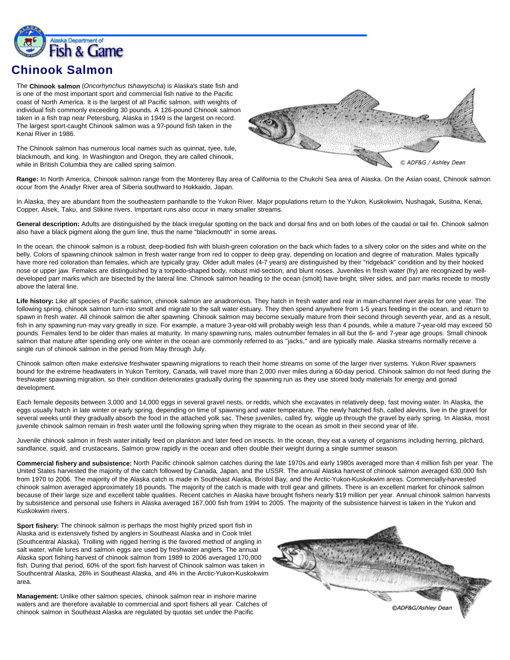

## **Chinook Salmon**

The **Chinook salmon** (*Oncorhynchus tshawytscha*) is Alaska's state fish and is one of the most important sport and commercial fish native to the Pacific coast of North America. It is the largest of all Pacific salmon, with weights of individual fish commonly exceeding 30 pounds. A 126-pound Chinook salmon taken in a fish trap near Petersburg, Alaska in 1949 is the largest on record. The largest sport-caught Chinook salmon was a 97-pound fish taken in the Kenai River in 1986.

The Chinook salmon has numerous local names such as quinnat, tyee, tule, blackmouth, and king. In Washington and Oregon, they are called chinook, while in British Columbia they are called spring salmon.



**Range:** In North America, Chinook salmon range from the Monterey Bay area of California to the Chukchi Sea area of Alaska. On the Asian coast, Chinook salmon occur from the Anadyr River area of Siberia southward to Hokkaido, Japan.

In Alaska, they are abundant from the southeastern panhandle to the Yukon River. Major populations return to the Yukon, Kuskokwim, Nushagak, Susitna, Kenai, Copper, Alsek, Taku, and Stikine rivers. Important runs also occur in many smaller streams.

**General description:** Adults are distinguished by the black irregular spotting on the back and dorsal fins and on both lobes of the caudal or tail fin. Chinook salmon also have a black pigment along the gum line, thus the name "blackmouth" in some areas.

In the ocean, the chinook salmon is a robust, deep-bodied fish with bluish-green coloration on the back which fades to a silvery color on the sides and white on the belly. Colors of spawning chinook salmon in fresh water range from red to copper to deep gray, depending on location and degree of maturation. Males typically have more red coloration than females, which are typically gray. Older adult males (4-7 years) are distinguished by their "ridgeback" condition and by their hooked nose or upper jaw. Females are distinguished by a torpedo-shaped body, robust mid-section, and blunt noses. Juveniles in fresh water (fry) are recognized by welldeveloped parr marks which are bisected by the lateral line. Chinook salmon heading to the ocean (smolt) have bright, silver sides, and parr marks recede to mostly above the lateral line.

**Life history:** Like all species of Pacific salmon, chinook salmon are anadromous. They hatch in fresh water and rear in main-channel river areas for one year. The following spring, chinook salmon turn into smolt and migrate to the salt water estuary. They then spend anywhere from 1-5 years feeding in the ocean, and return to spawn in fresh water. All chinook salmon die after spawning. Chinook salmon may become sexually mature from their second through seventh year, and as a result, fish in any spawning run may vary greatly in size. For example, a mature 3-year-old will probably weigh less than 4 pounds, while a mature 7-year-old may exceed 50 pounds. Females tend to be older than males at maturity. In many spawning runs, males outnumber females in all but the 6- and 7-year age groups. Small chinook salmon that mature after spending only one winter in the ocean are commonly referred to as "jacks," and are typically male. Alaska streams normally receive a single run of chinook salmon in the period from May through July.

Chinook salmon often make extensive freshwater spawning migrations to reach their home streams on some of the larger river systems. Yukon River spawners bound for the extreme headwaters in Yukon Territory, Canada, will travel more than 2,000 river miles during a 60-day period. Chinook salmon do not feed during the freshwater spawning migration, so their condition deteriorates gradually during the spawning run as they use stored body materials for energy and gonad development.

Each female deposits between 3,000 and 14,000 eggs in several gravel nests, or redds, which she excavates in relatively deep, fast moving water. In Alaska, the eggs usually hatch in late winter or early spring, depending on time of spawning and water temperature. The newly hatched fish, called alevins, live in the gravel for several weeks until they gradually absorb the food in the attached yolk sac. These juveniles, called fry, wiggle up through the gravel by early spring. In Alaska, most juvenile chinook salmon remain in fresh water until the following spring when they migrate to the ocean as smolt in their second year of life.

Juvenile chinook salmon in fresh water initially feed on plankton and later feed on insects. In the ocean, they eat a variety of organisms including herring, pilchard, sandlance, squid, and crustaceans. Salmon grow rapidly in the ocean and often double their weight during a single summer season.

**Commercial fishery and subsistence:** North Pacific chinook salmon catches during the late 1970s and early 1980s averaged more than 4 million fish per year. The United States harvested the majority of the catch followed by Canada, Japan, and the USSR. The annual Alaska harvest of chinook salmon averaged 630,000 fish from 1970 to 2006. The majority of the Alaska catch is made in Southeast Alaska, Bristol Bay, and the Arctic-Yukon-Kuskokwim areas. Commercially-harvested chinook salmon averaged approximately 18 pounds. The majority of the catch is made with troll gear and gillnets. There is an excellent market for chinook salmon because of their large size and excellent table qualities. Recent catches in Alaska have brought fishers nearly \$19 million per year. Annual chinook salmon harvests by subsistence and personal use fishers in Alaska averaged 167,000 fish from 1994 to 2005. The majority of the subsistence harvest is taken in the Yukon and Kuskokwim rivers.

**Sport fishery:** The chinook salmon is perhaps the most highly prized sport fish in Alaska and is extensively fished by anglers in Southeast Alaska and in Cook Inlet (Southcentral Alaska). Trolling with rigged herring is the favored method of angling in salt water, while lures and salmon eggs are used by freshwater anglers. The annual Alaska sport fishing harvest of chinook salmon from 1989 to 2006 averaged 170,000 fish. During that period, 60% of the sport fish harvest of Chinook salmon was taken in Southcentral Alaska, 26% in Southeast Alaska, and 4% in the Arctic-Yukon-Kuskokwim area.

**Management:** Unlike other salmon species, chinook salmon rear in inshore marine waters and are therefore available to commercial and sport fishers all year. Catches of chinook salmon in Southeast Alaska are regulated by quotas set under the Pacific